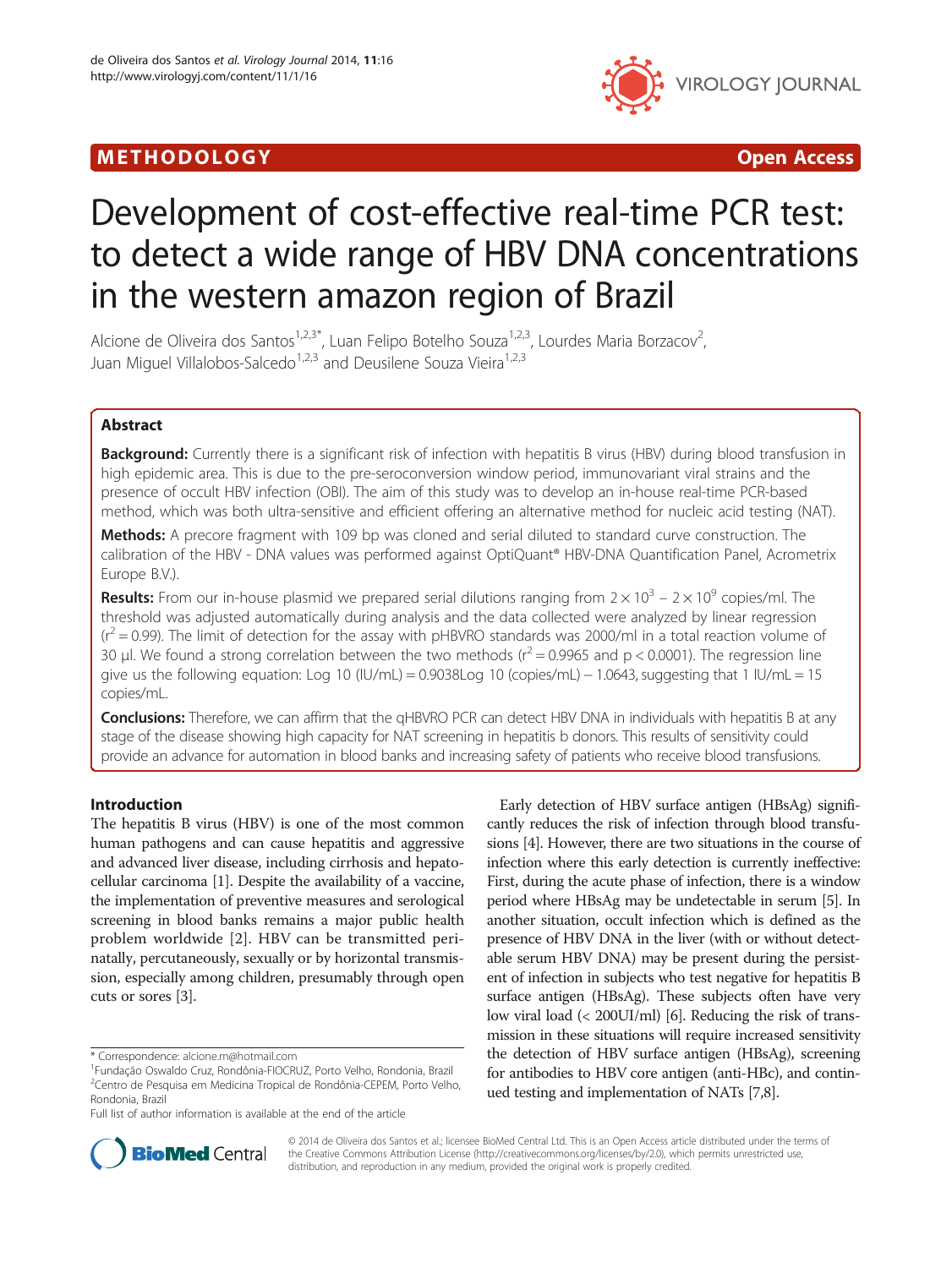# M E THODO L OGY Open Access



# Development of cost-effective real-time PCR test: to detect a wide range of HBV DNA concentrations in the western amazon region of Brazil

Alcione de Oliveira dos Santos<sup>1,2,3\*</sup>, Luan Felipo Botelho Souza<sup>1,2,3</sup>, Lourdes Maria Borzacov<sup>2</sup>, , Juan Miguel Villalobos-Salcedo<sup>1,2,3</sup> and Deusilene Souza Vieira<sup>1,2,3</sup>

# Abstract

Background: Currently there is a significant risk of infection with hepatitis B virus (HBV) during blood transfusion in high epidemic area. This is due to the pre-seroconversion window period, immunovariant viral strains and the presence of occult HBV infection (OBI). The aim of this study was to develop an in-house real-time PCR-based method, which was both ultra-sensitive and efficient offering an alternative method for nucleic acid testing (NAT).

Methods: A precore fragment with 109 bp was cloned and serial diluted to standard curve construction. The calibration of the HBV - DNA values was performed against OptiQuant® HBV-DNA Quantification Panel, Acrometrix Europe B.V.).

**Results:** From our in-house plasmid we prepared serial dilutions ranging from  $2 \times 10^3 - 2 \times 10^9$  copies/ml. The threshold was adjusted automatically during analysis and the data collected were analyzed by linear regression  $(r^2 = 0.99)$ . The limit of detection for the assay with pHBVRO standards was 2000/ml in a total reaction volume of 30 μl. We found a strong correlation between the two methods ( $r^2$  = 0.9965 and p < 0.0001). The regression line give us the following equation: Log 10 (IU/mL) = 0.9038Log 10 (copies/mL) − 1.0643, suggesting that 1 IU/mL = 15 copies/mL.

Conclusions: Therefore, we can affirm that the qHBVRO PCR can detect HBV DNA in individuals with hepatitis B at any stage of the disease showing high capacity for NAT screening in hepatitis b donors. This results of sensitivity could provide an advance for automation in blood banks and increasing safety of patients who receive blood transfusions.

# Introduction

The hepatitis B virus (HBV) is one of the most common human pathogens and can cause hepatitis and aggressive and advanced liver disease, including cirrhosis and hepatocellular carcinoma [\[1\]](#page-5-0). Despite the availability of a vaccine, the implementation of preventive measures and serological screening in blood banks remains a major public health problem worldwide [[2](#page-5-0)]. HBV can be transmitted perinatally, percutaneously, sexually or by horizontal transmission, especially among children, presumably through open cuts or sores [\[3\]](#page-5-0).

Early detection of HBV surface antigen (HBsAg) significantly reduces the risk of infection through blood transfusions [\[4\]](#page-5-0). However, there are two situations in the course of infection where this early detection is currently ineffective: First, during the acute phase of infection, there is a window period where HBsAg may be undetectable in serum [\[5\]](#page-5-0). In another situation, occult infection which is defined as the presence of HBV DNA in the liver (with or without detectable serum HBV DNA) may be present during the persistent of infection in subjects who test negative for hepatitis B surface antigen (HBsAg). These subjects often have very low viral load (< 200UI/ml) [[6](#page-5-0)]. Reducing the risk of transmission in these situations will require increased sensitivity the detection of HBV surface antigen (HBsAg), screening for antibodies to HBV core antigen (anti-HBc), and continued testing and implementation of NATs [\[7,8\]](#page-5-0).



© 2014 de Oliveira dos Santos et al.; licensee BioMed Central Ltd. This is an Open Access article distributed under the terms of the Creative Commons Attribution License [\(http://creativecommons.org/licenses/by/2.0\)](http://creativecommons.org/licenses/by/2.0), which permits unrestricted use, distribution, and reproduction in any medium, provided the original work is properly credited.

<sup>\*</sup> Correspondence: [alcione.m@hotmail.com](mailto:alcione.m@hotmail.com) <sup>1</sup>

Fundação Oswaldo Cruz, Rondônia-FIOCRUZ, Porto Velho, Rondonia, Brazil 2 Centro de Pesquisa em Medicina Tropical de Rondônia-CEPEM, Porto Velho, Rondonia, Brazil

Full list of author information is available at the end of the article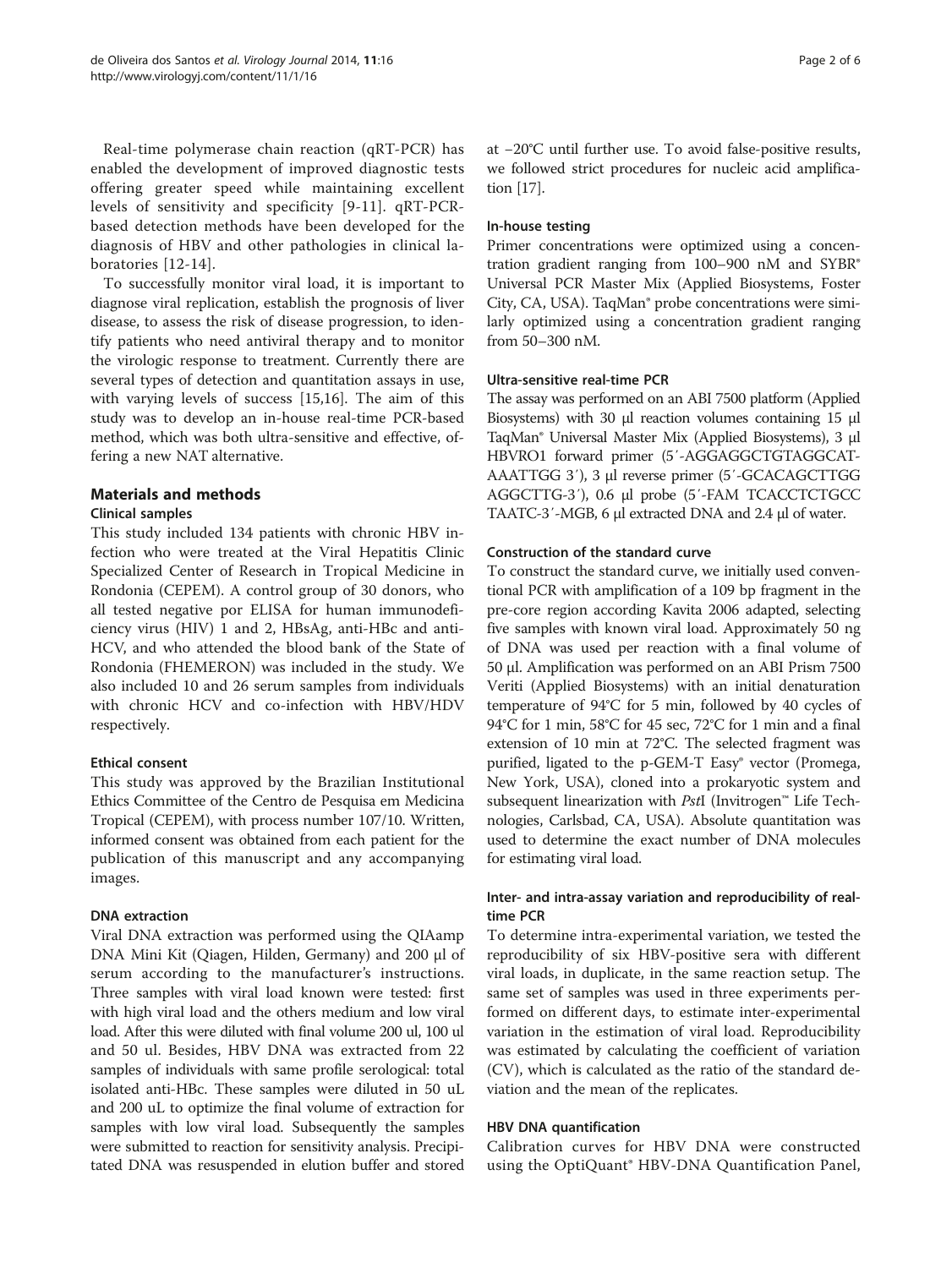Real-time polymerase chain reaction (qRT-PCR) has enabled the development of improved diagnostic tests offering greater speed while maintaining excellent levels of sensitivity and specificity [\[9](#page-5-0)-[11](#page-5-0)]. qRT-PCRbased detection methods have been developed for the diagnosis of HBV and other pathologies in clinical laboratories [\[12-14](#page-5-0)].

To successfully monitor viral load, it is important to diagnose viral replication, establish the prognosis of liver disease, to assess the risk of disease progression, to identify patients who need antiviral therapy and to monitor the virologic response to treatment. Currently there are several types of detection and quantitation assays in use, with varying levels of success [[15,16](#page-5-0)]. The aim of this study was to develop an in-house real-time PCR-based method, which was both ultra-sensitive and effective, offering a new NAT alternative.

# Materials and methods

# Clinical samples

This study included 134 patients with chronic HBV infection who were treated at the Viral Hepatitis Clinic Specialized Center of Research in Tropical Medicine in Rondonia (CEPEM). A control group of 30 donors, who all tested negative por ELISA for human immunodeficiency virus (HIV) 1 and 2, HBsAg, anti-HBc and anti-HCV, and who attended the blood bank of the State of Rondonia (FHEMERON) was included in the study. We also included 10 and 26 serum samples from individuals with chronic HCV and co-infection with HBV/HDV respectively.

# Ethical consent

This study was approved by the Brazilian Institutional Ethics Committee of the Centro de Pesquisa em Medicina Tropical (CEPEM), with process number 107/10. Written, informed consent was obtained from each patient for the publication of this manuscript and any accompanying images.

# DNA extraction

Viral DNA extraction was performed using the QIAamp DNA Mini Kit (Qiagen, Hilden, Germany) and 200 μl of serum according to the manufacturer's instructions. Three samples with viral load known were tested: first with high viral load and the others medium and low viral load. After this were diluted with final volume 200 ul, 100 ul and 50 ul. Besides, HBV DNA was extracted from 22 samples of individuals with same profile serological: total isolated anti-HBc. These samples were diluted in 50 uL and 200 uL to optimize the final volume of extraction for samples with low viral load. Subsequently the samples were submitted to reaction for sensitivity analysis. Precipitated DNA was resuspended in elution buffer and stored

at −20°C until further use. To avoid false-positive results, we followed strict procedures for nucleic acid amplification [\[17\]](#page-5-0).

# In-house testing

Primer concentrations were optimized using a concentration gradient ranging from 100-900 nM and SYBR® Universal PCR Master Mix (Applied Biosystems, Foster City, CA, USA). TaqMan® probe concentrations were similarly optimized using a concentration gradient ranging from 50–300 nM.

# Ultra-sensitive real-time PCR

The assay was performed on an ABI 7500 platform (Applied Biosystems) with 30 μl reaction volumes containing 15 μl TaqMan® Universal Master Mix (Applied Biosystems), 3 μl HBVRO1 forward primer (5′-AGGAGGCTGTAGGCAT-AAATTGG 3′), 3 μl reverse primer (5′-GCACAGCTTGG AGGCTTG-3′), 0.6 μl probe (5′-FAM TCACCTCTGCC TAATC-3′-MGB, 6 μl extracted DNA and 2.4 μl of water.

# Construction of the standard curve

To construct the standard curve, we initially used conventional PCR with amplification of a 109 bp fragment in the pre-core region according Kavita 2006 adapted, selecting five samples with known viral load. Approximately 50 ng of DNA was used per reaction with a final volume of 50 μl. Amplification was performed on an ABI Prism 7500 Veriti (Applied Biosystems) with an initial denaturation temperature of 94°C for 5 min, followed by 40 cycles of 94°C for 1 min, 58°C for 45 sec, 72°C for 1 min and a final extension of 10 min at 72°C. The selected fragment was purified, ligated to the p-GEM-T Easy® vector (Promega, New York, USA), cloned into a prokaryotic system and subsequent linearization with PstI (Invitrogen™ Life Technologies, Carlsbad, CA, USA). Absolute quantitation was used to determine the exact number of DNA molecules for estimating viral load.

# Inter- and intra-assay variation and reproducibility of realtime PCR

To determine intra-experimental variation, we tested the reproducibility of six HBV-positive sera with different viral loads, in duplicate, in the same reaction setup. The same set of samples was used in three experiments performed on different days, to estimate inter-experimental variation in the estimation of viral load. Reproducibility was estimated by calculating the coefficient of variation (CV), which is calculated as the ratio of the standard deviation and the mean of the replicates.

# HBV DNA quantification

Calibration curves for HBV DNA were constructed using the OptiQuant® HBV-DNA Quantification Panel,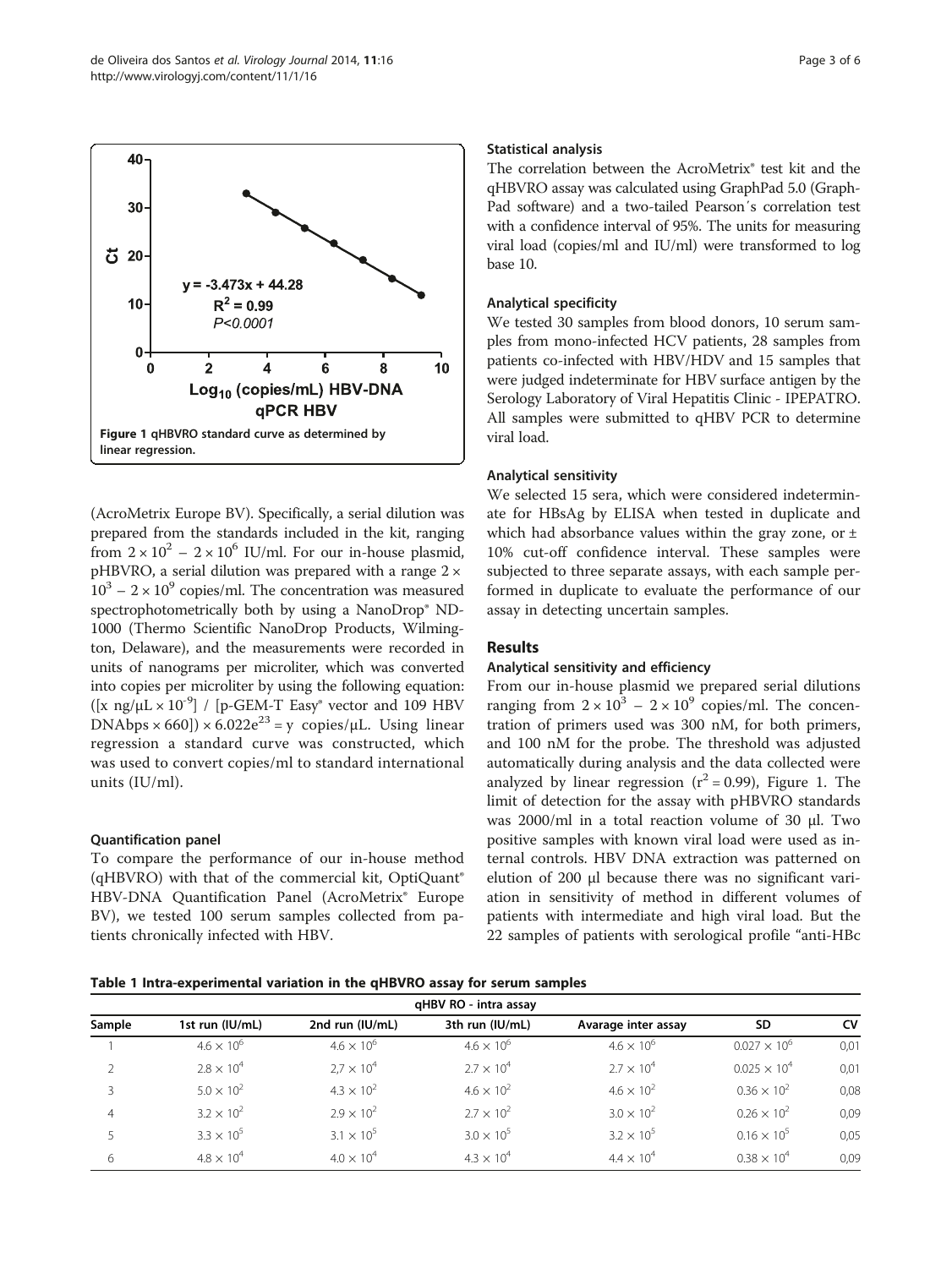<span id="page-2-0"></span>

(AcroMetrix Europe BV). Specifically, a serial dilution was prepared from the standards included in the kit, ranging from  $2 \times 10^2 - 2 \times 10^6$  IU/ml. For our in-house plasmid, pHBVRO, a serial dilution was prepared with a range 2 ×  $10^3 - 2 \times 10^9$  copies/ml. The concentration was measured spectrophotometrically both by using a NanoDrop® ND-1000 (Thermo Scientific NanoDrop Products, Wilmington, Delaware), and the measurements were recorded in units of nanograms per microliter, which was converted into copies per microliter by using the following equation:  $([x \text{ ng/µL} \times 10^{-9}]$  / [p-GEM-T Easy<sup>®</sup> vector and 109 HBV  $DNAbps \times 660$ ])  $\times 6.022e^{23} = y$  copies/ $\mu$ L. Using linear regression a standard curve was constructed, which was used to convert copies/ml to standard international units (IU/ml).

# Quantification panel

To compare the performance of our in-house method (qHBVRO) with that of the commercial kit, OptiQuant® HBV-DNA Quantification Panel (AcroMetrix® Europe BV), we tested 100 serum samples collected from patients chronically infected with HBV.

# Statistical analysis

The correlation between the AcroMetrix® test kit and the qHBVRO assay was calculated using GraphPad 5.0 (Graph-Pad software) and a two-tailed Pearson′s correlation test with a confidence interval of 95%. The units for measuring viral load (copies/ml and IU/ml) were transformed to log base 10.

# Analytical specificity

We tested 30 samples from blood donors, 10 serum samples from mono-infected HCV patients, 28 samples from patients co-infected with HBV/HDV and 15 samples that were judged indeterminate for HBV surface antigen by the Serology Laboratory of Viral Hepatitis Clinic - IPEPATRO. All samples were submitted to qHBV PCR to determine viral load.

# Analytical sensitivity

We selected 15 sera, which were considered indeterminate for HBsAg by ELISA when tested in duplicate and which had absorbance values within the gray zone, or  $\pm$ 10% cut-off confidence interval. These samples were subjected to three separate assays, with each sample performed in duplicate to evaluate the performance of our assay in detecting uncertain samples.

# Results

# Analytical sensitivity and efficiency

From our in-house plasmid we prepared serial dilutions ranging from  $2 \times 10^3 - 2 \times 10^9$  copies/ml. The concentration of primers used was 300 nM, for both primers, and 100 nM for the probe. The threshold was adjusted automatically during analysis and the data collected were analyzed by linear regression  $(r^2 = 0.99)$ , Figure 1. The limit of detection for the assay with pHBVRO standards was 2000/ml in a total reaction volume of 30 μl. Two positive samples with known viral load were used as internal controls. HBV DNA extraction was patterned on elution of 200 μl because there was no significant variation in sensitivity of method in different volumes of patients with intermediate and high viral load. But the 22 samples of patients with serological profile "anti-HBc

Table 1 Intra-experimental variation in the qHBVRO assay for serum samples

| gHBV RO - intra assay |                     |                     |                     |                     |                       |           |  |
|-----------------------|---------------------|---------------------|---------------------|---------------------|-----------------------|-----------|--|
| Sample                | 1st run (IU/mL)     | 2nd run (IU/mL)     | 3th run (IU/mL)     | Avarage inter assay | <b>SD</b>             | <b>CV</b> |  |
|                       | $4.6 \times 10^{6}$ | $4.6 \times 10^{6}$ | $4.6 \times 10^{6}$ | $4.6 \times 10^{6}$ | $0.027 \times 10^{6}$ | 0,01      |  |
|                       | $2.8 \times 10^{4}$ | $2.7 \times 10^{4}$ | $2.7 \times 10^{4}$ | $2.7 \times 10^{4}$ | $0.025 \times 10^4$   | 0,01      |  |
|                       | $5.0 \times 10^{2}$ | $4.3 \times 10^{2}$ | $4.6 \times 10^{2}$ | $4.6 \times 10^{2}$ | $0.36 \times 10^{2}$  | 0,08      |  |
| 4                     | $3.2 \times 10^{2}$ | $2.9 \times 10^{2}$ | $2.7 \times 10^{2}$ | $3.0 \times 10^{2}$ | $0.26 \times 10^{2}$  | 0,09      |  |
|                       | $3.3 \times 10^{5}$ | $3.1 \times 10^{5}$ | $3.0 \times 10^{5}$ | $3.2 \times 10^{5}$ | $0.16 \times 10^{5}$  | 0,05      |  |
| 6                     | $4.8 \times 10^{4}$ | $4.0 \times 10^{4}$ | $4.3 \times 10^{4}$ | $4.4 \times 10^{4}$ | $0.38 \times 10^{4}$  | 0,09      |  |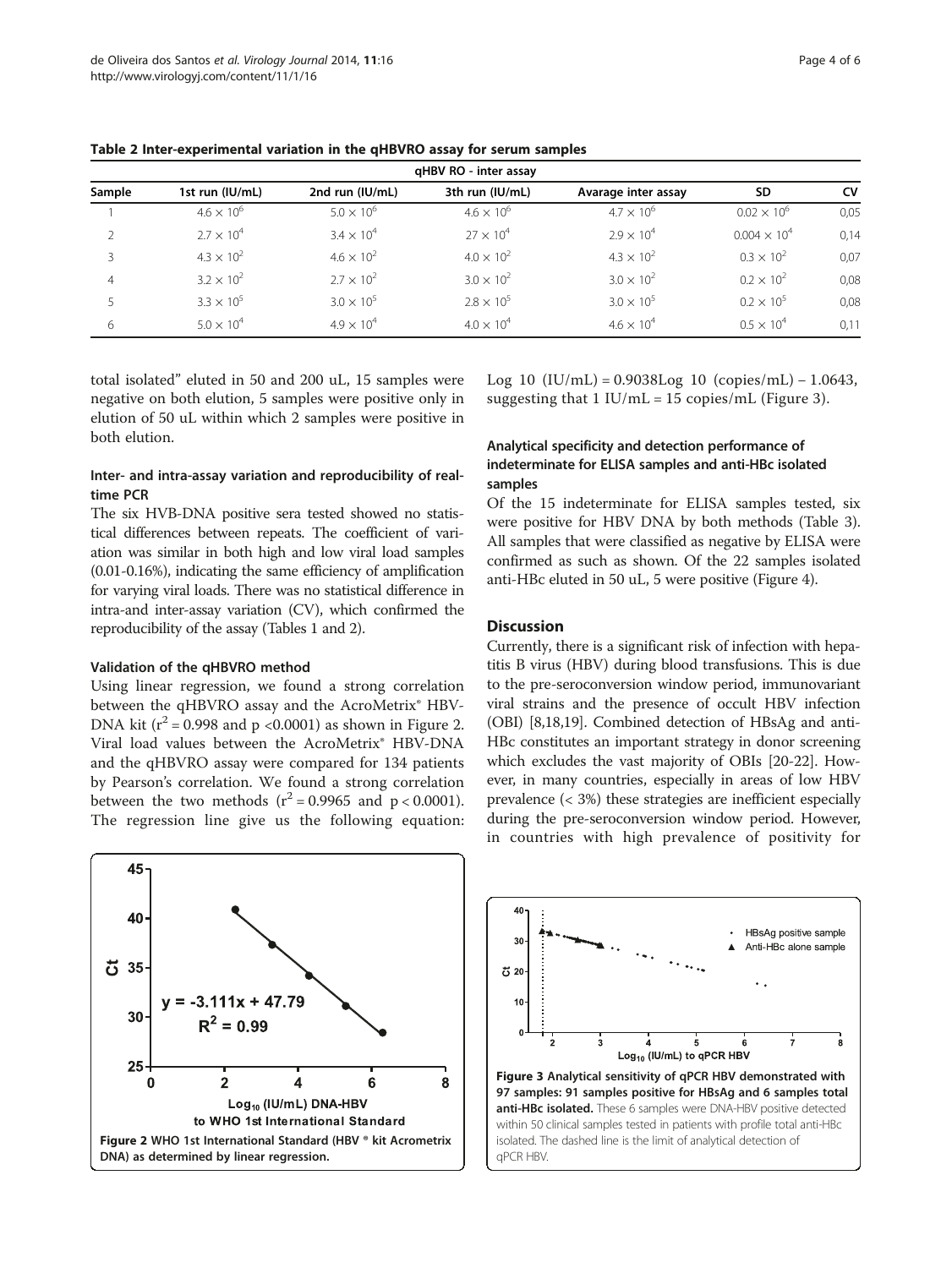| gHBV RO - inter assay |                     |                     |                     |                     |                       |           |  |  |
|-----------------------|---------------------|---------------------|---------------------|---------------------|-----------------------|-----------|--|--|
| Sample                | 1st run (IU/mL)     | 2nd run (IU/mL)     | 3th run (IU/mL)     | Avarage inter assay | SD.                   | <b>CV</b> |  |  |
|                       | $4.6 \times 10^{6}$ | $5.0 \times 10^{6}$ | $4.6 \times 10^{6}$ | $4.7 \times 10^{6}$ | $0.02 \times 10^{6}$  | 0,05      |  |  |
| $\mathcal{P}$         | $2.7 \times 10^{4}$ | $3.4 \times 10^{4}$ | $27 \times 10^{4}$  | $2.9 \times 10^{4}$ | $0.004 \times 10^{4}$ | 0,14      |  |  |
|                       | $4.3 \times 10^{2}$ | $4.6 \times 10^{2}$ | $4.0 \times 10^{2}$ | $4.3 \times 10^{2}$ | $0.3 \times 10^{2}$   | 0,07      |  |  |
| 4                     | $3.2 \times 10^{2}$ | $2.7 \times 10^{2}$ | $3.0 \times 10^{2}$ | $3.0 \times 10^{2}$ | $0.2 \times 10^{2}$   | 0,08      |  |  |
|                       | $3.3 \times 10^{5}$ | $3.0 \times 10^{5}$ | $2.8 \times 10^{5}$ | $3.0 \times 10^{5}$ | $0.2 \times 10^{5}$   | 0,08      |  |  |
| 6                     | $5.0 \times 10^{4}$ | $4.9 \times 10^{4}$ | $4.0 \times 10^{4}$ | $4.6 \times 10^{4}$ | $0.5 \times 10^{4}$   | 0,11      |  |  |

Table 2 Inter-experimental variation in the qHBVRO assay for serum samples

total isolated" eluted in 50 and 200 uL, 15 samples were negative on both elution, 5 samples were positive only in elution of 50 uL within which 2 samples were positive in both elution.

# Inter- and intra-assay variation and reproducibility of realtime PCR

The six HVB-DNA positive sera tested showed no statistical differences between repeats. The coefficient of variation was similar in both high and low viral load samples (0.01-0.16%), indicating the same efficiency of amplification for varying viral loads. There was no statistical difference in intra-and inter-assay variation (CV), which confirmed the reproducibility of the assay (Tables [1](#page-2-0) and 2).

# Validation of the qHBVRO method

Using linear regression, we found a strong correlation between the qHBVRO assay and the AcroMetrix<sup>®</sup> HBV-DNA kit ( $r^2$  = 0.998 and p <0.0001) as shown in Figure 2. Viral load values between the AcroMetrix® HBV-DNA and the qHBVRO assay were compared for 134 patients by Pearson's correlation. We found a strong correlation between the two methods  $(r^2 = 0.9965$  and  $p < 0.0001$ ). The regression line give us the following equation:

Log 10  $(IU/mL) = 0.9038Log 10 (copies/mL) - 1.0643$ , suggesting that  $1$  IU/mL = 15 copies/mL (Figure 3).

# Analytical specificity and detection performance of indeterminate for ELISA samples and anti-HBc isolated samples

Of the 15 indeterminate for ELISA samples tested, six were positive for HBV DNA by both methods (Table [3](#page-4-0)). All samples that were classified as negative by ELISA were confirmed as such as shown. Of the 22 samples isolated anti-HBc eluted in 50 uL, 5 were positive (Figure [4\)](#page-4-0).

# **Discussion**

Currently, there is a significant risk of infection with hepatitis B virus (HBV) during blood transfusions. This is due to the pre-seroconversion window period, immunovariant viral strains and the presence of occult HBV infection (OBI) [\[8,18,19](#page-5-0)]. Combined detection of HBsAg and anti-HBc constitutes an important strategy in donor screening which excludes the vast majority of OBIs [[20-22\]](#page-5-0). However, in many countries, especially in areas of low HBV prevalence (< 3%) these strategies are inefficient especially during the pre-seroconversion window period. However, in countries with high prevalence of positivity for



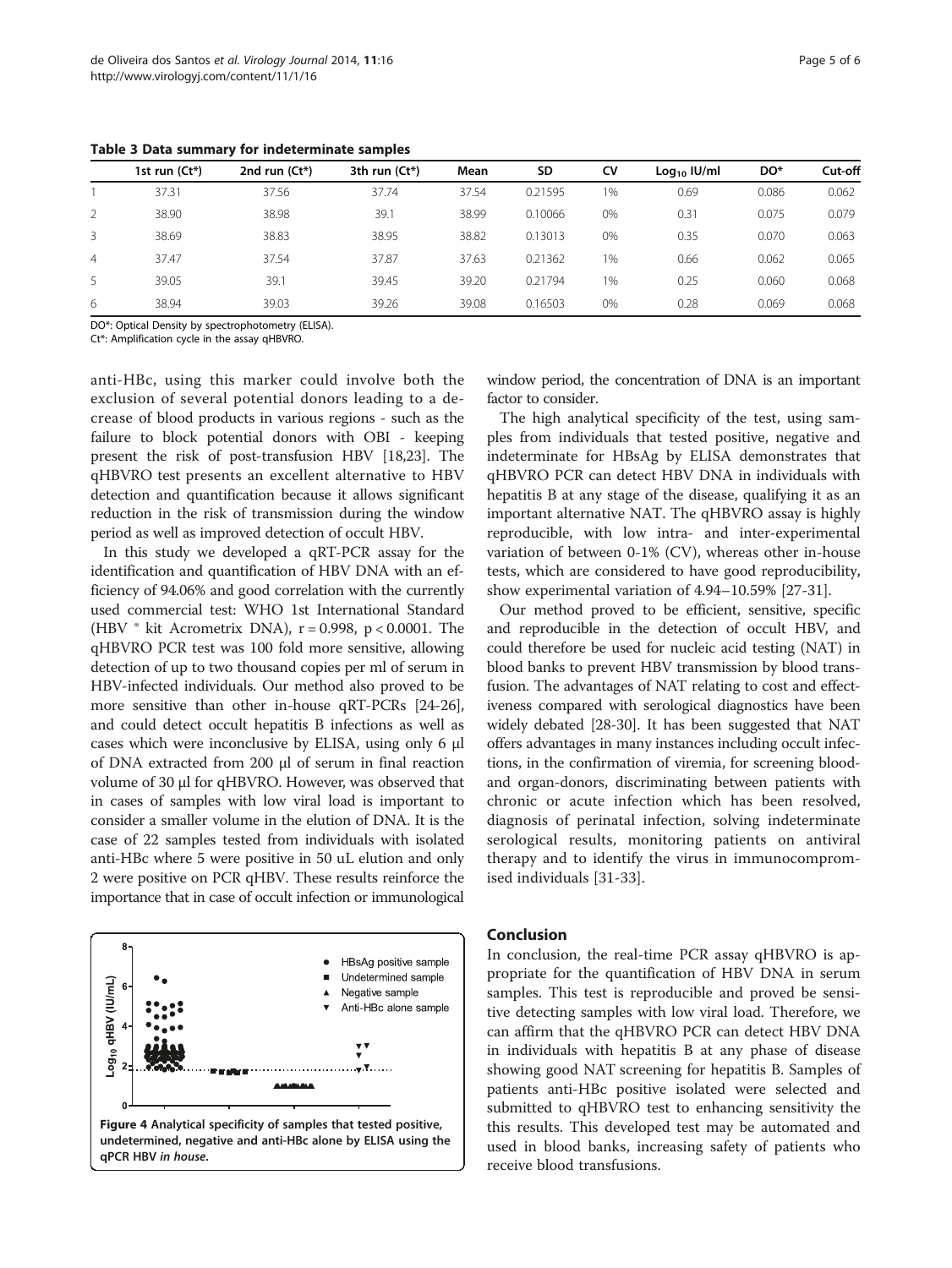|   | 1st run $(Ct^*)$ | 2nd run $(Ct^*)$ | 3th run $(Ct^*)$ | Mean  | <b>SD</b> | CV | $Log10$ IU/ml | DO*   | Cut-off |
|---|------------------|------------------|------------------|-------|-----------|----|---------------|-------|---------|
|   | 37.31            | 37.56            | 37.74            | 37.54 | 0.21595   | 1% | 0.69          | 0.086 | 0.062   |
|   | 38.90            | 38.98            | 39.1             | 38.99 | 0.10066   | 0% | 0.31          | 0.075 | 0.079   |
| 3 | 38.69            | 38.83            | 38.95            | 38.82 | 0.13013   | 0% | 0.35          | 0.070 | 0.063   |
| 4 | 37.47            | 37.54            | 37.87            | 37.63 | 0.21362   | 1% | 0.66          | 0.062 | 0.065   |
| 5 | 39.05            | 39.1             | 39.45            | 39.20 | 0.21794   | 1% | 0.25          | 0.060 | 0.068   |
| 6 | 38.94            | 39.03            | 39.26            | 39.08 | 0.16503   | 0% | 0.28          | 0.069 | 0.068   |

<span id="page-4-0"></span>Table 3 Data summary for indeterminate samples

DO\*: Optical Density by spectrophotometry (ELISA).

Ct\*: Amplification cycle in the assay qHBVRO.

anti-HBc, using this marker could involve both the exclusion of several potential donors leading to a decrease of blood products in various regions - such as the failure to block potential donors with OBI - keeping present the risk of post-transfusion HBV [\[18,23\]](#page-5-0). The qHBVRO test presents an excellent alternative to HBV detection and quantification because it allows significant reduction in the risk of transmission during the window period as well as improved detection of occult HBV.

In this study we developed a qRT-PCR assay for the identification and quantification of HBV DNA with an efficiency of 94.06% and good correlation with the currently used commercial test: WHO 1st International Standard (HBV  $\degree$  kit Acrometrix DNA), r = 0.998, p < 0.0001. The qHBVRO PCR test was 100 fold more sensitive, allowing detection of up to two thousand copies per ml of serum in HBV-infected individuals. Our method also proved to be more sensitive than other in-house qRT-PCRs [[24](#page-5-0)-[26](#page-5-0)], and could detect occult hepatitis B infections as well as cases which were inconclusive by ELISA, using only 6 μl of DNA extracted from 200 μl of serum in final reaction volume of 30 μl for qHBVRO. However, was observed that in cases of samples with low viral load is important to consider a smaller volume in the elution of DNA. It is the case of 22 samples tested from individuals with isolated anti-HBc where 5 were positive in 50 uL elution and only 2 were positive on PCR qHBV. These results reinforce the importance that in case of occult infection or immunological



window period, the concentration of DNA is an important factor to consider.

The high analytical specificity of the test, using samples from individuals that tested positive, negative and indeterminate for HBsAg by ELISA demonstrates that qHBVRO PCR can detect HBV DNA in individuals with hepatitis B at any stage of the disease, qualifying it as an important alternative NAT. The qHBVRO assay is highly reproducible, with low intra- and inter-experimental variation of between 0-1% (CV), whereas other in-house tests, which are considered to have good reproducibility, show experimental variation of 4.94–10.59% [\[27-31](#page-5-0)].

Our method proved to be efficient, sensitive, specific and reproducible in the detection of occult HBV, and could therefore be used for nucleic acid testing (NAT) in blood banks to prevent HBV transmission by blood transfusion. The advantages of NAT relating to cost and effectiveness compared with serological diagnostics have been widely debated [[28](#page-5-0)-[30](#page-5-0)]. It has been suggested that NAT offers advantages in many instances including occult infections, in the confirmation of viremia, for screening bloodand organ-donors, discriminating between patients with chronic or acute infection which has been resolved, diagnosis of perinatal infection, solving indeterminate serological results, monitoring patients on antiviral therapy and to identify the virus in immunocompromised individuals [[31-33](#page-5-0)].

# Conclusion

In conclusion, the real-time PCR assay qHBVRO is appropriate for the quantification of HBV DNA in serum samples. This test is reproducible and proved be sensitive detecting samples with low viral load. Therefore, we can affirm that the qHBVRO PCR can detect HBV DNA in individuals with hepatitis B at any phase of disease showing good NAT screening for hepatitis B. Samples of patients anti-HBc positive isolated were selected and submitted to qHBVRO test to enhancing sensitivity the this results. This developed test may be automated and used in blood banks, increasing safety of patients who receive blood transfusions.